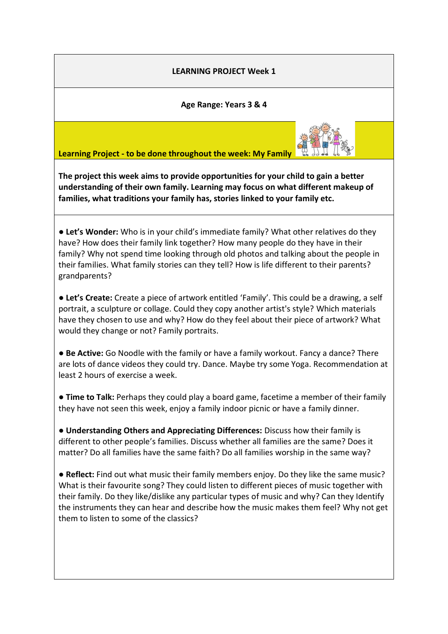## **LEARNING PROJECT Week 1**

## **Age Range: Years 3 & 4**



**Learning Project - to be done throughout the week: My Family** 

**The project this week aims to provide opportunities for your child to gain a better understanding of their own family. Learning may focus on what different makeup of families, what traditions your family has, stories linked to your family etc.**

● **Let's Wonder:** Who is in your child's immediate family? What other relatives do they have? How does their family link together? How many people do they have in their family? Why not spend time looking through old photos and talking about the people in their families. What family stories can they tell? How is life different to their parents? grandparents?

**● Let's Create:** Create a piece of artwork entitled 'Family'. This could be a drawing, a self portrait, a sculpture or collage. Could they copy another artist's style? Which materials have they chosen to use and why? How do they feel about their piece of artwork? What would they change or not? Family portraits.

**● Be Active:** Go Noodle with the family or have a family workout. Fancy a dance? There are lots of dance videos they could try. Dance. Maybe try some Yoga. Recommendation at least 2 hours of exercise a week.

**● Time to Talk:** Perhaps they could play a board game, facetime a member of their family they have not seen this week, enjoy a family indoor picnic or have a family dinner.

**● Understanding Others and Appreciating Differences:** Discuss how their family is different to other people's families. Discuss whether all families are the same? Does it matter? Do all families have the same faith? Do all families worship in the same way?

**● Reflect:** Find out what music their family members enjoy. Do they like the same music? What is their favourite song? They could listen to different pieces of music together with their family. Do they like/dislike any particular types of music and why? Can they Identify the instruments they can hear and describe how the music makes them feel? Why not get them to listen to some of the classics?